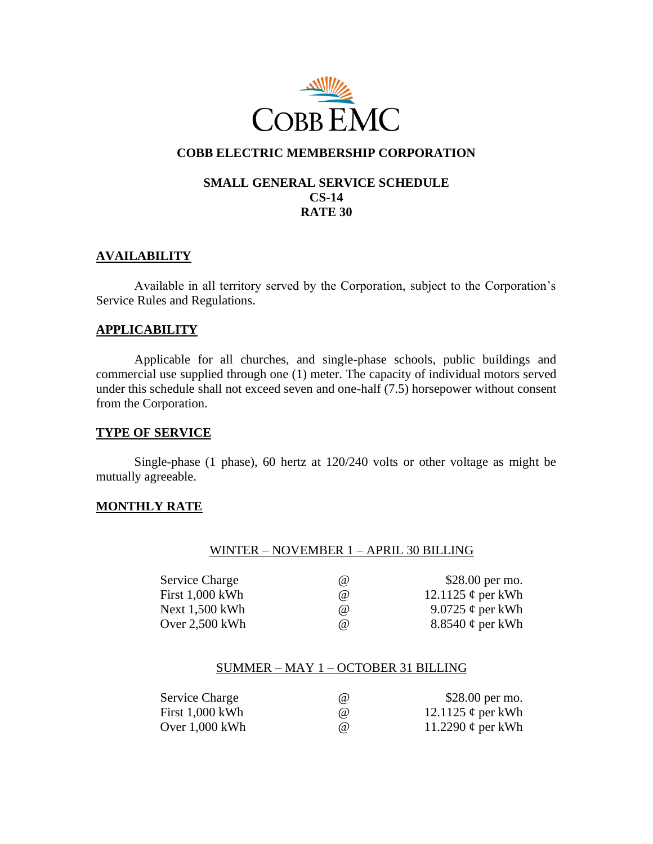

# **COBB ELECTRIC MEMBERSHIP CORPORATION**

## **SMALL GENERAL SERVICE SCHEDULE CS-14 RATE 30**

## **AVAILABILITY**

Available in all territory served by the Corporation, subject to the Corporation's Service Rules and Regulations.

### **APPLICABILITY**

Applicable for all churches, and single-phase schools, public buildings and commercial use supplied through one (1) meter. The capacity of individual motors served under this schedule shall not exceed seven and one-half (7.5) horsepower without consent from the Corporation.

### **TYPE OF SERVICE**

Single-phase (1 phase), 60 hertz at 120/240 volts or other voltage as might be mutually agreeable.

### **MONTHLY RATE**

#### WINTER – NOVEMBER 1 – APRIL 30 BILLING

| <b>Service Charge</b> | (a) | \$28.00 per mo.        |
|-----------------------|-----|------------------------|
| First $1,000$ kWh     | (a) | 12.1125 $\phi$ per kWh |
| Next 1,500 kWh        | (a) | 9.0725 $\phi$ per kWh  |
| Over $2,500$ kWh      | (a) | 8.8540 $\phi$ per kWh  |

### SUMMER – MAY 1 – OCTOBER 31 BILLING

| <b>Service Charge</b> | (a)      | \$28.00 per mo.        |
|-----------------------|----------|------------------------|
| First 1,000 kWh       | $\omega$ | 12.1125 $\phi$ per kWh |
| Over $1,000$ kWh      | (a)      | 11.2290 $\phi$ per kWh |